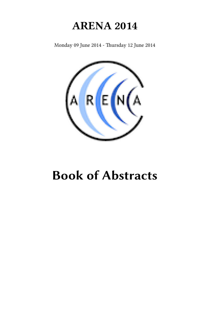## **ARENA 2014**

Monday 09 June 2014 - Thursday 12 June 2014



# **Book of Abstracts**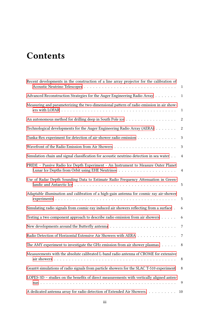## **Contents**

| Recent developments in the construction of a line array projector for the calibration of | $\mathbf{1}$     |
|------------------------------------------------------------------------------------------|------------------|
| Advanced Reconstruction Strategies for the Auger Engineering Radio Array 1               |                  |
| Measuring and parameterizing the two-dimensional pattern of radio emission in air show-  | $\mathbf{1}$     |
|                                                                                          | $\boldsymbol{2}$ |
| Technological developments for the Auger Engineering Radio Array (AERA)                  | $\sqrt{2}$       |
| Tunka-Rex experiment for detection of air-shower radio emission                          | 3                |
|                                                                                          | $\mathbf{3}$     |
| Simulation chain and signal classification for acoustic neutrino detection in sea water  | $\overline{4}$   |
| PRIDE - Passive Radio Ice Depth Experiment - An Instrument to Measure Outer Planet       |                  |
| Use of Radar Depth Sounding Data to Estimate Radio Frequency Attenuation in Green-       |                  |
| Adaptable illumination and calibration of a high-gain antenna for cosmic ray air-shower  | $\overline{5}$   |
| Simulating radio signals from cosmic-ray induced air showers reflecting from a surface.  | 6                |
| Testing a two component approach to describe radio emission from air showers             | 6                |
|                                                                                          | $\overline{7}$   |
| Radio Detection of Horizontal Extensive Air Showers with AERA                            | $7\phantom{.0}$  |
| The AMY experiment to investigate the GHz emission from air shower plasmas. $\ldots$ 8   |                  |
| Measurements with the absolute calibrated L-band radio antenna of CROME for extensive    | 8                |
| Geant4 simulations of radio signals from particle showers for the SLAC T-510 experiment  | 8                |
| LOPES-3D – studies on the benefits of direct measurements with vertically aligned anten- | 9                |
| A dedicated antenna array for radio detection of Extended Air Showers.                   | 10               |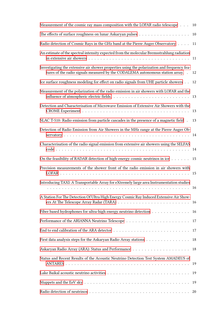| Measurement of the cosmic ray mass composition with the LOFAR radio telescope                                                                                                  | 10 |
|--------------------------------------------------------------------------------------------------------------------------------------------------------------------------------|----|
|                                                                                                                                                                                | 10 |
| Radio detection of Cosmic Rays in the GHz band at the Pierre Auger Observatory                                                                                                 | 11 |
| An estimate of the spectral intensity expected from the molecular Bremsstrahlung radiation                                                                                     | 11 |
| Investigating the extensive air shower properties using the polarization and frequency fea-<br>tures of the radio signals measured by the CODALEMA autonomous station array. . | 12 |
| Ice surface roughness modeling for effect on radio signals from UHE particle showers                                                                                           | 12 |
| Measurement of the polarization of the radio emission in air showers with LOFAR and the                                                                                        |    |
| Detection and Characterisation of Microwave Emission of Extensive Air Showers with the                                                                                         | 13 |
| SLAC T-510: Radio emission from particle cascades in the presence of a magnetic field.                                                                                         | 13 |
| Detection of Radio Emission from Air Showers in the MHz range at the Pierre Auger Ob-                                                                                          |    |
| Characterisation of the radio signal emission from extensive air showers using the SELFAS                                                                                      | 14 |
| On the feasibility of RADAR detection of high-energy cosmic neutrinos in ice                                                                                                   | 15 |
| Precision measurements of the shower front of the radio emission in air showers with                                                                                           |    |
| Introducing TAXI: A Transportable Array for eXtremely large area Instrumentation studies                                                                                       |    |
| A Station For The Detection Of Ultra High Energy Cosmic Ray Induced Extensive Air Show-                                                                                        | 16 |
| Fiber based hydrophones for ultra-high energy neutrino detection 16                                                                                                            |    |
|                                                                                                                                                                                | 17 |
|                                                                                                                                                                                | 17 |
| First data analysis steps for the Askaryan Radio Array stations                                                                                                                | 18 |
|                                                                                                                                                                                |    |
| Status and Recent Results of the Acoustic Neutrino Detection Test System AMADEUS of                                                                                            | 19 |
|                                                                                                                                                                                |    |
|                                                                                                                                                                                | 19 |
|                                                                                                                                                                                | 20 |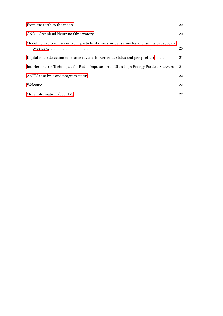| Modeling radio emission from particle showers in dense media and air: a pedagogical                         |    |
|-------------------------------------------------------------------------------------------------------------|----|
| Digital radio detection of cosmic rays: achievements, status and perspectives 21                            |    |
| Interferometric Techniques for Radio Impulses from Ultra-high Energy Particle Showers                       | 21 |
|                                                                                                             |    |
|                                                                                                             |    |
| More information about $DC \ldots \ldots \ldots \ldots \ldots \ldots \ldots \ldots \ldots \ldots \ldots 22$ |    |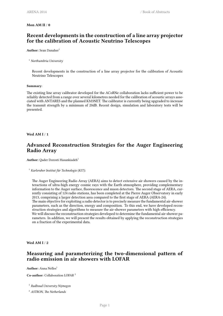#### <span id="page-6-0"></span>**Mon AM II** / **0**

## **Recent developments in the construction of a line array projector for the calibration of Acoustic Neutrino Telescopes**

Author: Sean Danaher<sup>1</sup>

#### <sup>1</sup> *Northumbria University*

Recent developments in the construction of a line array projector for the calibration of Acoustic Neutrino Telescopes

#### **Summary**:

The existing line array calibrator developed for the ACoRNe collaboration lacks sufficient power to be reliably detected from a range over several kilometres needed for the calibration of acoustic arrays associated with ANTARES and the planned KM3NET. The calibrator is currently being upgraded to increase the transmit strength by a minimum of 20dB. Recent design, simulation and laboratory tests will be presented.

<span id="page-6-1"></span>**Wed AM I** / **1**

## **Advanced Reconstruction Strategies for the Auger Engineering Radio Array**

Author: Qader Dorosti Hasankiadeh<sup>1</sup>

<sup>1</sup> *Karlsruher Institut für Technologie (KIT);*

The Auger Engineering Radio Array (AERA) aims to detect extensive air showers caused by the interactions of ultra-high energy cosmic rays with the Earth atmosphere, providing complementary information to the Auger surface, fluorescence and muon detectors. The second stage of AERA, currently consisting of 124 radio stations, has been completed at the Pierre Auger Observatory in early 2013, comprising a larger detection area compared to the first stage of AERA (AERA-24). The main objective for exploiting a radio detector is to precisely measure the fundamental air-shower parameters, such as the direction, energy and composition. To this end, we have developed reconstruction strategies and algorithms to measure the air-shower parameters with high efficiency. We will discuss the reconstruction strategies developed to determine the fundamental air-shower pa-

rameters. In addition, we will present the results obtained by applying the reconstruction strategies on a fraction of the experimental data.

<span id="page-6-2"></span>**Wed AM I** / **2**

## **Measuring and parameterizing the two-dimensional pattern of radio emission in air showers with LOFAR**

Author: Anna Nelles<sup>1</sup>

**Co-author:** Collaboration LOFAR <sup>2</sup>

1 *Radboud University Nijmegen*

<sup>2</sup> *ASTRON, The Netherlands*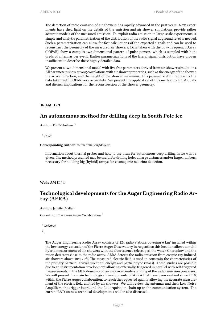The detection of radio emission of air showers has rapidly advanced in the past years. New experiments have shed light on the details of the emission and air shower simulations provide rather accurate models of the measured emission. To exploit radio emission in large-scale experiments, a simple and analytic parametrization of the distribution of the radio signal at ground level is needed. Such a parametrization can allow for fast calculations of the expected signals and can be used to reconstruct the geometry of the measured air showers. Data taken with the Low- Frequency Array (LOFAR) show a complex two-dimensional pattern of pulse powers, which is sampled with hundreds of antennas per event. Earlier parametrizations of the lateral signal distribution have proven insufficient to describe these highly detailed data.

We present a two-dimensional model with five free parameters derived from air-shower simulations. All parameters show strong correlations with air shower properties, such as the energy of the shower, the arrival direction, and the height of the shower maximum. This parametrization represents the data taken with LOFAR very accurately. We present the application of this method to LOFAR data and discuss implications for the reconstruction of the shower geometry.

<span id="page-7-0"></span>**Th AM II** / **3**

#### **An autonomous method for drilling deep in South Pole ice**

**Author:** Rolf Nahnhauer<sup>1</sup>

<sup>1</sup> *DESY*

**Corresponding Author:** rolf.nahnhauer@desy.de

Information about thermal probes and how to use them for autonomous deep drilling in ice will be given. The method presented may be useful for drilling holes at large distances and/or large numbers, necessary for building big (hybrid) arrays for cosmogenic neutrino detection.

#### <span id="page-7-1"></span>**Weds AM II** / **4**

## **Technological developments for the Auger Engineering Radio Array (AERA)**

**Author:** Jennifer Maller<sup>1</sup>

**Co-author:** The Pierre Auger Collaboration <sup>2</sup>

1 *Subatech*

2 *.*

The Auger Engineering Radio Array consists of 124 radio stations covering 6 km² installed within the low energy extension of the Pierre Auger Observatory in Argentina; this location allows a multihybrid measurement of air-showers with the fluorescence telescopes, the water-Cherenkov and the muon detectors close to the radio array. AERA detects the radio emission from cosmic-ray induced air showers above  $10^{\text{A}}17$  eV. The measured electric field is used to constrain the characteristics of the primary particle: arrival direction, energy and particle type (mass). These studies are possible due to an instrumentation development allowing externally-triggered in parallel with self-triggered measurements in the MHz domain and an improved understanding of the radio emission processes. We will present the main technological developments of AERA that have been realized since 2010, within the Pierre Auger collaboration, to reach the requested quality allowing the accurate measurement of the electric field emitted by air showers. We will review the antennas and their Low Noise Amplifiers, the trigger board and the full acquisition chain up to the communication system. The current R&D on new technical developments will be also discussed.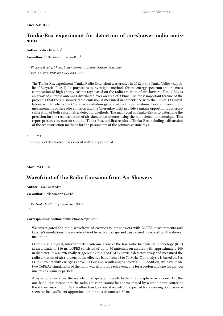#### <span id="page-8-0"></span>**Tues AM II** / **5**

## **Tunka-Rex experiment for detection of air-shower radio emission**

#### **Author:** Yuliya Kazarina<sup>1</sup>

#### **Co-author:** Collaboration Tunka-Rex<sup>2</sup>

1 *Physical faculty, Irkutsk State University, Irkutsk, Russian Federation*

<sup>2</sup> *KIT, API ISU, SINP MSU, INR RAS, DEZY*

The Tunka-Rex experiment (Tunka Radio Extension) was created in 2012 at the Tunka Valley (Republic of Buryatia, Russia). Its purpose is to investigate methods for the energy spectrum and the mass composition of high energy cosmic rays based on the radio emission of air showers. Tunka-Rex is an array of 25 radio antennas distributed over an area of 3 km2. The most important feature of the project is that the air-shower radio emission is measured in coincidence with the Tunka-133 installation, which detects the Cherenkov radiation generated by the same atmospheric showers. Joint measurements of the radio emission and the Cherenkov light provide a unique opportunity for crosscalibration of both calorimetric detection methods. The main goal of Tunka-Rex is to determine the precision for the reconstruction of air-shower parameters using the radio detection technique. This report presents the current status of Tunka-Rex, and first results of Tunka-Rex including a discussion of the reconstruction methods for the parameters of the primary cosmic rays.

#### **Summary**:

The results of Tunka-Rex experiment will be represented.

#### <span id="page-8-1"></span>**Mon PM II** / **6**

## **Wavefront of the Radio Emission from Air Showers**

**Author:** Frank Schröder<sup>1</sup>

**Co-author:** Collaboration LOPES <sup>2</sup>

```
1 Karlsruhe Institute of Technology (KIT)
2
-
```
#### **Corresponding Author:** frank.schroeder@kit.edu

We investigated the radio wavefront of cosmic-ray air showers with LOPES measurements and CoREAS simulations: the wavefront is of hyperbolic shape and can be used to reconstruct the shower maximum.

LOPES was a digital, interferometric antenna array at the Karlsruhe Institute of Technology (KIT) at an altitude of 110 m. LOPES consisted of up to 30 antennas on an area with approximately 200 m diameter. It was externally triggered by the KASCADE particle detector array and measured the radio emission of air showers in the effective band from 43 to 74 MHz. Our analysis is based on 316 LOPES events with energies above 0.1 EeV and zenith angles below 45°. In addition, we have made two CoREAS simulations of the radio wavefront for each event, one for a proton and one for an iron nucleus as primary particle.

A hyperbola describes the wavefront shape significantly better than a sphere or a cone. On the one hand, this means that the radio emission cannot be approximated by a static point source at the shower maximum. On the other hand, a conical wavefront expected for a moving point source seems to be a sufficient approximation for axis distances > 50 m.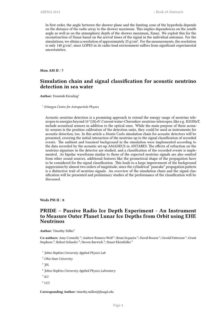In first order, the angle between the shower plane and the limiting cone of the hyperbola depends on the distance of the radio array to the shower maximum. This implies dependences on the zenith angle as well as on the atmospheric depth of the shower maximum, Xmax. We exploit this for the reconstruction of Xmax based on the arrival times of the signal in the individual antennas. For the simulations, we obtain a resolution of approximately 25  $g/cm<sup>2</sup>$ . For the measurements, the resolution is only 140 g/cm², since LOPES in its radio-loud environment suffers from significant experimental uncertainties.

<span id="page-9-0"></span>**Mon AM II** / **7**

## **Simulation chain and signal classification for acoustic neutrino detection in sea water**

**Author:** Dominik Kiessling<sup>1</sup>

1 *Erlangen Centre for Astroparticle Physics*

Acoustic neutrino detection is a promising approach to extend the energy range of neutrino telescopes to energies beyond 10^{18} eV. Current water-Cherenkov-neutrino-telescopes, like e.g. KM3NeT, include acoustical sensors in addition to the optical ones. While the main purpose of these acoustic sensors is the position calibration of the detection units, they could be used as instruments for acoustic detection, too. In this article a Monte Carlo simulation chain for acoustic detectors will be presented, covering the initial interaction of the neutrino up to the signal classification of recorded events. The ambient and transient background in the simulation were implemented according to the data recorded by the acoustic set-up AMADEUS in ANTARES. The effects of refraction on the neutrino signature in the detector are studied, and a classification of the recorded events is implemented. As bipolar waveforms similar to those of the expected neutrino signals are also emitted from other sound sources, additional features like the geometrical shape of the propagation have to be considered for the signal classification. This leads to a large improvement of the background suppression by almost two orders of magnitude, since the cylindrical "pancake" propagation pattern is a distinctive trait of neutrino signals. An overview of the simulation chain and the signal classification will be presented and preliminary studies of the performance of the classification will be discussed.

<span id="page-9-1"></span>**Weds PM II** / **8**

#### **PRIDE – Passive Radio Ice Depth Experiment - An Instrument to Measure Outer Planet Lunar Ice Depths from Orbit using EHE Neutrinos**

**Author:** Timothy Miller<sup>1</sup>

Co-authors: Amy Connolly<sup>2</sup>; Andrew Romero-Wolf<sup>3</sup>; Brian Sequeira<sup>4</sup>; David Besson<sup>5</sup>; Gerald Patterson<sup>4</sup>; Grant Stephens  $^4$ ; Robert Schaefer  $^4$ ; Steven Barwick  $^6$ ; Stuart Kleinfelder  $^6$ 

1 *Johns Hopkins University Applied Physics Lab*

<sup>2</sup> *Ohio State University*

3 *JPL*

4 *Johns Hopkins University Applied Physics Laboratory*

<sup>5</sup> *KU*

 $6$  *UCI* 

**Corresponding Author:** timothy.miller@jhuapl.edu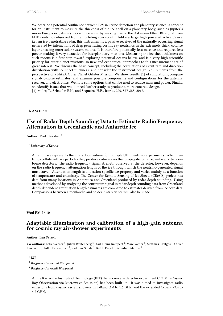We describe a potential confluence between EeV neutrino detection and planetary science: a concept for an instrument to measure the thickness of the ice shell on a planetary body, such as Jupiter's moon Europa or Saturn's moon Enceladus, by making use of the Askaryan Effect RF signal from EHE neutrinos observed from an orbiting spacecraft. Unlike a large high powered active device, i.e., an ice-penetrating radar, this instrument is a passive receiver of the naturally occurring signal generated by interactions of deep penetrating cosmic ray neutrinos in the extremely thick, cold ice layer encasing outer solar system moons. It is therefore potentially less massive and requires less power, making it very attractive for interplanetary missions. Measuring the ice sheet thickness on such moons is a first step toward exploring potential oceans below, and is a very high scientific priority for outer planet missions, so new and economical approaches to this measurement are of great interest. We discuss the basic concept, including the correlations of event rate and direction distribution with ice sheet thickness, and consider the instrument design requirements from the perspective of a NASA Outer Planet Orbiter Mission. We show results [1] of simulations, compare signal-to-noise estimates, and examine possible components and configurations for the antenna, receiver, and electronics. We note some options that can be used to reduce mass and power. Finally, we identify issues that would need further study to produce a more concrete design. [1] Miller, T., Schaefer, R.K., and Sequeira, H.B., Icarus, 220, 877-888, 2012.

<span id="page-10-0"></span>**Th AM II** / **9**

## **Use of Radar Depth Sounding Data to Estimate Radio Frequency Attenuation in Greenlandic and Antarctic Ice**

**Author:** Mark Stockham<sup>1</sup>

#### <sup>1</sup> *University of Kansas*

Antarctic ice represents the interaction volume for multiple UHE neutrino experiments. When neutrinos collide with ice particles they produce radio waves that propagate to in-ice, surface, or balloonborne detectors. The radio frequency signal strength observed at the detector, however, depends on the radio frequency attenuation length of the ice through which the neutrino-generated signal must travel. Attenuation length is a location-specific ice property and varies mainly as a function of temperature and chemistry. The Center for Remote Sensing of Ice Sheets (CReSIS) project has data from many locations in Antarctica and Greenland produced by radar depth sounding. Using methods developed by analyzing the continuum signal in radar depth sounding data from Greenland depth-dependent attenuation length estimates are compared to estimates derived from ice core data. Comparisons between Greenlandic and colder Antarctic ice will also be made.

#### <span id="page-10-1"></span>**Wed PM I** / **10**

## **Adaptable illumination and calibration of a high-gain antenna for cosmic ray air-shower experiments**

#### **Author:** Lars Petzold<sup>1</sup>

Co-authors: Felix Werner <sup>1</sup>; Julian Rautenberg<sup>2</sup>; Karl-Heinz Kampert <sup>3</sup>; Marc Weber <sup>1</sup>; Matthias Kleifges <sup>1</sup>; Oliver Kroemer <sup>1</sup>; Phillip Papenbreer <sup>2</sup>; Radomir Smida <sup>1</sup>; Ralph Engel <sup>1</sup>; Sebastian Mathys <sup>2</sup>

#### <sup>1</sup> *KIT*

- 2 *Bergische Universität Wuppertal*
- 3 *Bergische Univerität Wuppertal*

At the Karlsruhe Institute of Technology (KIT) the microwave detector experiment CROME (Cosmic Ray Observation via Microwave Emission) has been built up. It was aimed to investigate radio emissions from cosmic ray air showers in L-Band (1.0 to 1.6 GHz) and the extended C-Band (3.4 to 4.2 GHz).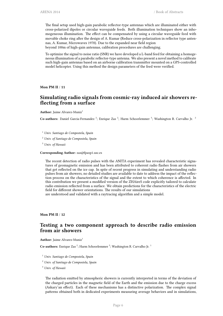The final setup used high-gain parabolic reflector-type antennas which are illuminated either with cross-polarized dipoles or circular waveguide feeds. Both illumination techniques show an inhomogeneous illumination. The effect can be compensated by using a circular waveguide feed with movable choke ring after the design of A. Kumar (Reduce cross-polarization in reflector type antennas, A. Kumar, Microwaves 1978). Due to the expanded near field region beyond 100m of high-gain antennas, calibration procedures are challenging.

To optimize the signal to noise ratio (SNR) we have developed a L-band feed for obtaining a homogeneous illumination of a parabolic reflector-type antenna. We also present a novel method to calibrate such high-gain antennas based on an airborne calibration transmitter mounted on a GPS-controlled model helicopter. Using this method the design parameters of the feed were verified.

<span id="page-11-0"></span>**Mon PM II** / **11**

## **Simulating radio signals from cosmic-ray induced air showers reflecting from a surface**

Author: Jaime Alvarez-Muniz<sup>1</sup>

Co-authors: Daniel Garcia-Fernandez<sup>2</sup>; Enrique Zas<sup>2</sup>; Harm Schoorlemmer<sup>3</sup>; Washington R. Carvalho Jr.<sup>2</sup>

<sup>1</sup> *Univ. Santiago de Compostela, Spain*

<sup>2</sup> *Univ. of Santiago de Compostela, Spain*

<sup>3</sup> *Univ. of Hawaii*

**Corresponding Author:** zas@fpaxp1.usc.es

The recent detection of radio pulses with the ANITA experiment has revealed characteristic signatures of geomagnetic emission and has been attributed to coherent radio flashes from air showers that get reflected on the ice cap. In spite of recent progress in simulating and understanding radio pulses from air showers, no detailed studies are available to date to address the impact of the reflection process on the characteristics of the signal and the extent to which coherence is affected. In this contribution we present a modified version of the ZHAireS code explicitly tailored to calculate radio emission reflected from a surface. We obtain predictions for the characteristics of the electric field for different shower orientations. The results of our simulations

are understood and validated with a raytracing algorithm and a simple model.

<span id="page-11-1"></span>**Mon PM II** / **12**

## **Testing a two component approach to describe radio emission from air showers**

Author: Jaime Alvarez-Muniz<sup>1</sup>

Co-authors: Enrique Zas<sup>2</sup>; Harm Schoorlemmer<sup>3</sup>; Washington R. Carvalho Jr.<sup>1</sup>

<sup>1</sup> *Univ. Santiago de Compostela, Spain*

<sup>2</sup> *Univ. of Santiago de Compostela, Spain*

<sup>3</sup> *Univ. of Hawaii*

The radiation emitted by atmospheric showers is currently interpreted in terms of the deviation of the charged particles in the magnetic field of the Earth and the emission due to the charge excess (Askary'an effect). Each of these mechanisms has a distinctive polarization. The complex signal patterns obtained both in dedicated experiments measuring average behaviors and in simulations,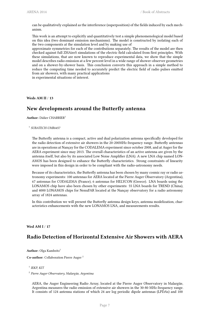can be qualitatively explained as the interference (superposition) of the fields induced by each mechanism.

This work is an attempt to explicitly and quantitatively test a simple phenomenological model based on this idea (two dominant emission mechanisms). The model is constructed by isolating each of the two components at the simulation level and by making use of

approximate symmetries for each of the contributions separately. The results of the model are then checked against full ZHAireS simulations of the electric field calculated from first principles. With these simulations, that are now known to reproduce experimental data, we show that the simple model describes radio emission at a few percent level in a wide range of shower-observer geometries and on a shower-by-shower basis. This conclusion converts this approach in a simple method to reduce the computing time needed to accurately predict the electric field of radio pulses emitted from air showers, with many practical applications in experimental situations of interest.

<span id="page-12-0"></span>**Weds AM II** / **13**

## **New developments around the Butterfly antenna**

**Author:** Didier CHARRIER<sup>1</sup>

#### 1 *SUBATECH-UMR6457*

The Butterfly antenna is a compact, active and dual polarization antenna specifically developed for the radio detection of extensive air showers in the 20-200MHz frequency range. Butterfly antennas are in operations at Nançay for the CODALEMA experiment since october 2008, and at Auger for the AERA experiment since may 2013. The overall characteristics of an active antenna are given by the antenna itself, but also by its associated Low Noise Amplifier (LNA). A new LNA chip named LON-AMOS has been designed to enhance the Butterfly characteristics. Strong constraints of linearity were imposed in this design in order to be compliant with the radio-astronomy needs.

Because of its characteristics, the Butterfly antenna has been chosen by many cosmic ray or radio astronomy experiments: 100 antennas for AERA located at the Pierre Auger Observatory (Argentina), 67 antennas for CODALEMA (France), 6 antennas for HELYCON (Greece). LNA boards using the LONAMOS chip have also been chosen by other experiments: 55 LNA boards for TREND (China), and 4000 LONAMOS chips for NenuFAR located at the Nançay observatory for a radio astronomy array of 1824 antennas.

In this contribution we will present the Butterfly antenna design keys, antenna modelization, characteristics enhancements with the new LONAMOS LNA, and measurements results.

#### <span id="page-12-1"></span>**Wed AM I** / **17**

## **Radio Detection of Horizontal Extensive Air Showers with AERA**

**Author:** Olga Kambeitz<sup>1</sup>

**Co-author:** Collaboration Pierre Auger <sup>2</sup>

AERA, the Auger Engineering Radio Array, located at the Pierre Auger Observatory in Malargüe, Argentina measures the radio emission of extensive air showers in the 30-80 MHz frequency range. It consists of 124 antenna stations of which 24 are log periodic dipole antennas (LPDAs) and 100

<sup>1</sup> *IEKP, KIT*

<sup>2</sup> *Pierre Auger Observatory, Malargüe, Argentina*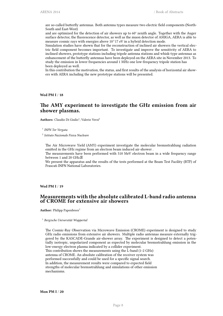are so-called butterfly antennas. Both antenna types measure two electric field components (North-South and East-West)

and are optimized for the detection of air showers up to 60° zenith angle. Together with the Auger surface detector, the fluorescence detector, as well as the muon detector of AMIGA, AERA is able to measure cosmic rays with energies above 10^17 eV in a hybrid detection mode.

Simulation studies have shown that for the reconstruction of inclined air showers the vertical electric field component becomes important. To investigate and improve the sensitivity of AERA to inclined showers, prototype stations including tripole antenna stations and whisk-type antennas as enhancement of the butterfly antennas have been deployed on the AERA site in November 2013. To study the emission in lower frequencies around 1 MHz one low-frequency tripole station has been deployed as well.

In this contribution the motivation, the status, and first results of the analysis of horizontal air showers with AERA including the new prototype stations will be presented.

<span id="page-13-0"></span>**Wed PM I** / **18**

#### **The AMY experiment to investigate the GHz emission from air shower plasmas.**

Authors: Claudio Di Giulio<sup>1</sup>; Valerio Verzi<sup>2</sup>

1 *INFN Tor Vergata*

2 *Istituto Nazionale Fisica Nucleare*

The Air Microwave Yield (AMY) experiment investigate the molecular bremsstrahlung radiation emitted in the GHz regime from an electron beam induced air-shower .

The measurements have been performed with 510 MeV electron beam in a wide frequency range between 1 and 20 GHz.

We present the apparatus and the results of the tests performed at the Beam Test Facility (BTF) of Frascati INFN National Laboratories.

<span id="page-13-1"></span>**Wed PM I** / **19**

#### **Measurements with the absolute calibrated L-band radio antenna of CROME for extensive air showers**

**Author:** Philipp Papenbreer<sup>1</sup>

1 *Bergische Universität Wuppertal*

The Cosmic-Ray Observation via Microwave Emission (CROME) experiment is designed to study GHz radio emissions from extensive air showers. Multiple radio antennas measure externally triggered by the KASCADE-Grande air-shower array. The experiment is designed to detect a potentially isotropic, unpolarized component as expected by molecular bremsstrahlung emission in the low-energy electron plasma indicated by a collider experiment.

<span id="page-13-2"></span>This contribution shows the measurements using the L-band (1-2 GHz) antenna of CROME. An absolute calibration of the receiver system was performed successfully and could be used for a specific signal search. In addition, the measurement results were compared to expected field strengths of molecular bremsstrahlung and simulations of other emission mechanisms.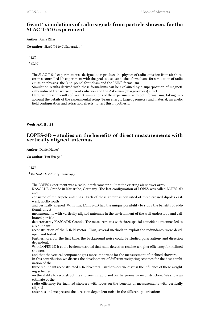## **Geant4 simulations of radio signals from particle showers for the SLAC T-510 experiment**

Author: Anne Zilles<sup>1</sup>

**Co-author:** SLAC T-510 Collaboration <sup>2</sup>

 $1$  *KIT* 

2 *SLAC*

The SLAC T-510 experiment was designed to reproduce the physics of radio emission from air showers in a controlled lab experiment with the goal to test established formalisms for simulation of radio emission physics: the "end-point" formalism and the "ZHS" formalism.

Simulation results derived with these formalisms can be explained by a superposition of magnetically induced transverse current radiation and the Askaryan (charge-excess) effect.

Here, we present results of Geant4 simulations of the experiment with both formalisms, taking into account the details of the experimental setup (beam energy, target geometry and material, magnetic field configuration and refraction effects) to test this hypothesis.

<span id="page-14-0"></span>**Weds AM II** / **21**

#### **LOPES-3D – studies on the benefits of direct measurements with vertically aligned antennas**

Author: Daniel Huber<sup>1</sup>

**Co-author:** Tim Huege <sup>2</sup>

 $1$  *KIT* 

<sup>2</sup> *Karlsruhe Institute of Technology*

The LOPES experiment was a radio interferometer built at the existing air shower array

KASCADE-Grande in Karlsruhe, Germany. The last configuration of LOPES was called LOPES-3D and

consisted of ten tripole antennas. Each of these antennas consisted of three crossed dipoles eastwest, north-south

and vertically aligned. With this, LOPES-3D had the unique possibility to study the benefits of additional, direct

measurements with vertically aligned antennas in the environment of the well understood and calibrated particle

detector array KASCADE-Grande. The measurements with three spacial coincident antennas led to a redundant

reconstruction of the E-field vector. Thus, several methods to exploit the redundancy were developed and tested.

Furthermore, for the first time, the background noise could be studied polarization- and direction dependent.

With LOPES-3D it could be demonstrated that radio detection reaches a higher efficiency for inclined showers

and that the vertical component gets more important for the measurement of inclined showers.

In this contribution we discuss the development of different weighting schemes for the best combination of the

three redundant reconstructed E-field vectors. Furthermore we discuss the influence of these weighting schemes

on the ability to reconstruct the showers in radio and on the geometry reconstruction. We show an estimate of the

radio efficiency for inclined showers with focus on the benefits of measurements with vertically aligned

antennas and we present the direction dependent noise in the different polarizations.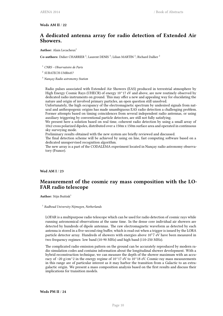#### **Weds AM II** / **22**

#### **A dedicated antenna array for radio detection of Extended Air Showers.**

#### Author: Alain Lecacheux<sup>1</sup>

Co-authors: Didier CHARRIER<sup>2</sup>; Laurent DENIS<sup>3</sup>; Lilian MARTIN<sup>2</sup>; Richard Dallier<sup>2</sup>

<sup>1</sup> *CNRS - Observatoire de Paris*

2 *SUBATECH-UMR6457*

<sup>3</sup> *Nançay Radio astronomy Station*

Radio pulses associated with Extended Air Showers (EAS) produced in terrestrial atmosphere by High Energy Cosmic Rays (UHECR) of energy 10^17 eV and above, are now routinely observed by dedicated radio instruments on ground. This may offer a new and appealing way for elucidating the nature and origin of involved primary particles, an open question still unsolved.

Unfortunately, the high occupancy of the electromagnetic spectrum by undesired signals from natural and anthropogenic origins has made unambiguous EAS radio detection a challenging problem. Former attempts based on timing coincidences from several independent radio antennas, or using auxiliary triggering by conventional particle detectors, are still not fully satisfying.

We present here a solution based on real time, coherent radio detection by using a small array of 10x2 cross polarized dipoles, distributed over a 150m x 150m surface area and operated in continuous sky surveying mode.

Preliminary results obtained with the new system are briefly reviewed and discussed.

The final detection scheme will be achieved by using on line, fast computing software based on a dedicated unsupervised recognition algorithm.

The new array is a part of the CODALEMA experiment located in Nançay radio astronomy observatory (France).

<span id="page-15-0"></span>**Wed AM I** / **23**

#### **Measurement of the cosmic ray mass composition with the LO-FAR radio telescope**

**Author:** Stijn Buitink<sup>1</sup>

1 *Radboud University Nijmegen, Netherlands*

LOFAR is a multipurpose radio telescope which can be used for radio detection of cosmic rays while running astronomical observations at the same time. In the dense core individual air showers are detected by hundreds of dipole antennas. The raw electromagnetic waveform as detected by each antenna is stored in a five-second ring buffer, which is read out when a trigger is issued by the LORA particle detector array. Hundreds of showers with energies above  $10<sup>17</sup>$  eV have been measured in two frequency regimes: low band (10-90 MHz) and high band (110-250 MHz).

<span id="page-15-1"></span>The complicated radio emission pattern on the ground can be accurately reproduced by modern radio simulation codes and contains information about the longitudinal shower development. With a hybrid reconstruction technique, we can measure the depth of the shower maximum with an accuracy of ~20 g/cm^2 in the energy regime of  $10^{\text{A}}17$  eV to  $10^{\text{A}}18$  eV. Cosmic-ray mass measurements in this range are of particular interest as it may harbor the transition from a Galactic to an extragalactic origin. We present a mass composition analysis based on the first results and discuss their implications for transition models.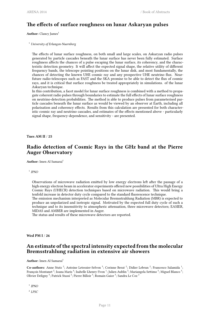## **The effects of surface roughness on lunar Askaryan pulses**

**Author:** Clancy James<sup>1</sup>

<sup>1</sup> *University of Erlangen-Nuernberg*

The effects of lunar surface roughness, on both small and large scales, on Askaryan radio pulses generated by particle cascades beneath the lunar surface has never been fully estimated. Surface roughness affects the chances of a pulse escaping the lunar surface, its coherency, and the characteristic detection geometry. It will affect the expected signal shape, the relative utility of different frequency bands, the telescope pointing positions on the lunar disk, and most fundamentally, the chances of detecting the known UHE cosmic ray and any prospective UHE neutrino flux. Nearfuture radio-telescopes such as FAST and the SKA promise to be able to detect the flux of cosmic rays, and it is critical that surface roughness be treated appropriately in simulations. of the lunar Askaryan technique.

In this contribution, a facet model for lunar surface roughness is combined with a method to propagate coherent radio pulses through boundaries to estimate the full effects of lunar surface roughness on neutrino-detection probabilities. The method is able to produce pulses from parameterised particle cascades beneath the lunar surface as would be viewed by an observer at Earth, including all polarisation and coherency effects. Results from this calculation are presented for both characteristic cosmic ray and neutrino cascades, and estimates of the effects mentioned above - particularly signal shape, frequency-dependence, and sensitivity - are presented.

<span id="page-16-0"></span>**Tues AM II** / **25**

## **Radio detection of Cosmic Rays in the GHz band at the Pierre Auger Observatory**

**Author:** Imen Al Samarai<sup>1</sup>

1 *IPNO*

Observations of microwave radiation emitted by low energy electrons left after the passage of a high energy electron beam in accelerator experiments offered new possibilities of Ultra High Energy Cosmic Rays (UHECR) detection techniques based on microwave radiation. This would bring a tenfold increase in detector duty cycle compared to the standard fluorescence technique.

The emission mechanism interpreted as Molecular Bremsstrahlung Radiation (MBR) is expected to produce an unpolarized and isotropic signal. Motivated by the expected full duty cycle of such a technique and to its insensitivity to atmospheric attenuation, three microwave detectors; EASIER, MIDAS and AMBER are implemented in Auger.

The status and results of these microwave detectors are reported.

<span id="page-16-1"></span>**Wed PM I** / **26**

## **An estimate of the spectral intensity expected from the molecular Bremsstrahlung radiation in extensive air showers**

Author: Imen Al Samarai<sup>1</sup>

Co-authors: Anne Stutz<sup>2</sup>; Antoine Letessier-Selvon<sup>3</sup>; Corinne Berat<sup>2</sup>; Didier Lebrun<sup>2</sup>; Francesco Salamida<sup>1</sup>; François Montanet  $^2$ ; Ioana Maris  $^4$ ; Isabelle Lhenry-Yvon  $^1$ ; Julien Aublin  $^3$ ; Mariangela Settimo  $^3$ ; Miguel Blanco  $^3$ ; Olivier Deligny <sup>5</sup>; Patrick Stassi <sup>2</sup>; Pierre Billoir <sup>3</sup>; Romain Gaior <sup>3</sup>; Sandra Le Coz <sup>2</sup>

1 *IPNO*

2 *LPSC*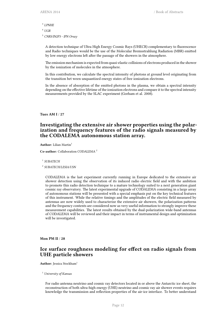- 3 *LPNHE*
- <sup>4</sup> *UGR*

<sup>5</sup> *CNRS/IN2P3 - IPN Orsay*

A detection technique of Ultra High Energy Cosmic Rays (UHECR) complementary to fluorescence and Radio techniques would be the use of the Molecular Bremsstrahlung Radiation (MBR) emitted by low energy electrons left after the passage of the showers in the atmosphere.

The emission mechanism is expected from quasi-elastic collisions of electrons produced in the shower by the ionization of molecules in the atmosphere.

In this contribution, we calculate the spectral intensity of photons at ground level originating from the transition bet ween unquantized energy states of free ionization electrons.

In the absence of absorption of the emitted photons in the plasma, we obtain a spectral intensity depending on the effective lifetime of the ionization electrons and compare it to the spectral intensity measurements provided by the SLAC experiment (Gorham et al. 2008).

<span id="page-17-0"></span>**Tues AM I** / **27**

## **Investigating the extensive air shower properties using the polarization and frequency features of the radio signals measured by the CODALEMA autonomous station array.**

**Author:** Lilian Martin<sup>1</sup>

**Co-author:** Collaboration CODALEMA <sup>2</sup>

1 *SUBATECH*

2 *SUBATECH/LESIA/USN*

CODALEMA is the last experiment currently running in Europe dedicated to the extensive air shower detection using the observation of its induced radio electric field and with the ambition to promote this radio detection technique to a mature technology suited to a next generation giant cosmic ray observatory. The latest experimental upgrade of CODALEMA consisting in a large array of autonomous stations will be presented with a special emphasis put on the key technical features of this instrument. While the relative timings and the amplitudes of the electric field measured by antennas are now widely used to characterize the extensive air showers, the polarization patterns and the frequency contents are considered now as very useful information to strongly improve these measurement capabilities. The latest results obtained by the dual-polarization wide-band antennas of CODALEMA will be reviewed and their impact in terms of instrumental design and optimization will be investigated.

<span id="page-17-1"></span>**Mon PM II** / **28**

## **Ice surface roughness modeling for effect on radio signals from UHE particle showers**

**Author:** Jessica Stockham<sup>1</sup>

<sup>1</sup> *University of Kansas*

For radio antenna neutrino and cosmic ray detectors located in or above the Antarctic ice sheet, the reconstruction of both ultra-high energy (UHE) neutrino and cosmic ray air shower events requires knowledge the transmission and reflection properties of the air-ice interface. To better understand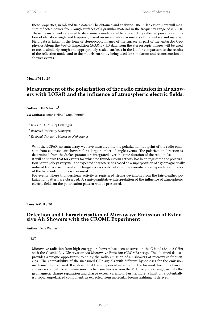these properties, in-lab and field data will be obtained and analyzed. The in-lab experiment will measure reflected power from rough surfaces of a granular material in the frequency range of 2-3GHz. These meausrements are used to determine a model capable of predicting reflected power as a function of elevation angle and frequency based on measurable parameters of the surface and material. Field data is taken in the form of stereoscopic images of the surface as part of the Antarctic Geophysics Along the Vostok Expedition (AGAVE). 3D data from the stereoscopic images will be used to create similarly rough and appropriately scaled surfaces in the lab for comparison to the results of the reflection model and to the models currently being used for simulation and reconstruction of shower events.

<span id="page-18-0"></span>**Mon PM I** / **29**

## **Measurement of the polarization of the radio emission in air showers with LOFAR and the influence of atmospheric electric fields.**

**Author:** Olaf Scholten<sup>1</sup>

**Co-authors:** Anna Nelles<sup>2</sup>; Stijn Buitink<sup>3</sup>

<sup>1</sup> *KVI-CART, Univ. of Groningen*

2 *Radboud University Nijmegen*

3 *Radboud University Nijmegen, Netherlands*

With the LOFAR antenna array we have measured the the polarization footprint of the radio emission from extensive air showers for a large number of single events. The polarization direction is determined from the Stokes parameters integrated over the time duration of the radio pulse. It will be shown that for events for which no thunderstorm activity has been registered the polarization pattern obeys very well the expected characteristics based on a superposition of a geomagneticallyinduced transverse current and charge excess contributions. The core-distance dependence of ratio of the two contributions is measured.

For events where thunderstorm activity is registered strong deviations from the fair-weather polarization pattern are observed. A semi-quantitative interpretation of the influence of atmospheric electric fields on the polarization pattern will be presented.

<span id="page-18-1"></span>**Tues AM II** / **30**

#### **Detection and Characterisation of Microwave Emission of Extensive Air Showers with the CROME Experiment**

**Author:** Felix Werner<sup>1</sup>

 $1$  *KIT* 

<span id="page-18-2"></span>Microwave radiation from high-energy air showers has been observed in the C band (3.4–4.2 GHz) with the Cosmic-Ray Observation via Microwave Emission (CROME) setup. The obtained dataset provides a unique opportunity to study the radio emission of air showers at microwave frequencies. The compatibility of the measured GHz signals with different hypotheses for the emission mechanism is discussed. It is shown that the component measured in the forward direction of an air shower is compatible with emission mechanisms known from the MHz frequency range, namely the geomagnetic charge separation and charge excess variation. Furthermore, a limit on a potentially isotropic, unpolarized component, as expected from molecular bremsstrahlung, is derived.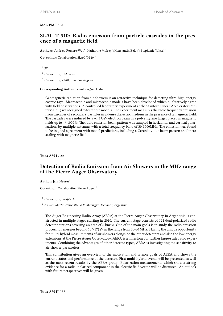#### **Mon PM I** / **31**

## **SLAC T-510: Radio emission from particle cascades in the presence of a magnetic field**

Authors: Andrew Romero-Wolf<sup>1</sup>; Katharine Mulrey<sup>2</sup>; Konstantin Belov<sup>3</sup>; Stephanie Wissel<sup>3</sup>

**Co-author:** Collaboration SLAC T-510 <sup>3</sup>

1 *JPL*

<sup>2</sup> *University of Delaware*

<sup>3</sup> *University of California, Los Angeles*

**Corresponding Author:** kmulrey@udel.edu

Geomagnetic radiation from air showers is an attractive technique for detecting ultra-high energy cosmic rays. Macroscopic and microscopic models have been developed which qualitatively agree with field observations. A controlled laboratory experiment at the Stanford Linear Accelerator Center (SLAC) was designed to test these models. The experiment measures the radio frequency emission from cascades of secondary particles in a dense dielectric medium in the presence of a magnetic field. The cascades were induced by a ~4.5 GeV electron beam in a polyethylene target placed in magnetic fields up to +/-1000 G. The radio emission beam pattern was sampled in horizontal and vertical polarizations by multiple antennas with a total frequency band of 30-3000MHz. The emission was found to be in good agreement with model predictions, including a Cerenkov-like beam pattern and linear scaling with magnetic field.

<span id="page-19-0"></span>**Tues AM I** / **32**

## **Detection of Radio Emission from Air Showers in the MHz range at the Pierre Auger Observatory**

Author: Jens Neuser<sup>1</sup>

**Co-author:** Collaboration Pierre Auger <sup>2</sup>

<sup>1</sup> *University of Wuppertal*

<sup>2</sup> *Av. San Martin Norte 306, 5613 Malargue, Mendoza, Argentina*

The Auger Engineering Radio Array (AERA) at the Pierre Auger Observatory in Argentinia is constructed in multiple stages starting in 2010. The current stage consists of 124 dual-polarized radio detector stations covering an area of 6 km $^{\wedge}$ 2. One of the main goals is to study the radio emission process for energies beyond 10^{17} eV in the range from 30-80 MHz. Having the unique opportunity for multi-hybrid measurements of air showers alongside the other detectors and also the low-energy extensions at the Pierre Auger Observatory, AERA is a milestone for further large-scale radio experiments. Combining the advantages of other detector types, AERA is investigating the sensitivity to air shower parameters.

<span id="page-19-1"></span>This contribution gives an overview of the motivation and science goals of AERA and shows the current status and performance of the detector. First multi-hybrid events will be presented as well as the most recent results by the AERA group. Polarization measurements which show a strong evidence for a radial polarized component in the electric field vector will be discussed. An outlook with future perspectives will be given.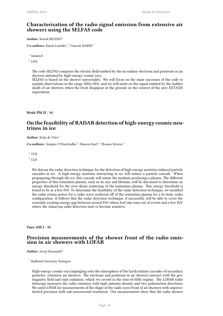## **Characterisation of the radio signal emission from extensive air showers using the SELFAS code**

**Author:** Benoît REVENU<sup>1</sup>

Co-authors: Karim Louédec<sup>2</sup>; Vincent MARIN<sup>1</sup>

1 *Subatech*

2 *LPSC*

The code SELFAS computes the electric field emitted by the secondary electrons and positrons in air showers initiated by high-energy cosmic rays.

SELFAS is based on the shower universality. We will focus on the main successes of the code to explain observations in the range MHz-GHz, and we will insist on the signal emitted by the sudden death of air showers when the front disappear in the ground, in the context of the new EXTASIS experiment.

<span id="page-20-0"></span>**Weds PM II** / **34**

## **On the feasibility of RADAR detection of high-energy cosmic neutrinos in ice**

Author: Krijn de Vries<sup>1</sup>

**Co-authors:** Aongus O'Murchadha<sup>2</sup>; Hanson Kael<sup>2</sup>; Thomas Meures<sup>1</sup>

<sup>1</sup> *VUB*

<sup>2</sup> *ULB*

We discuss the radar detection technique for the detection of high-energy neutrino-induced particle cascades in ice. A high-energy neutrino interacting in ice will induce a particle cascade. When propagating through the ice, this cascade will ionize the medium producing a plasma. The different properties of this ionization plasma, such as its size and lifetime, will be discussed to determine an energy threshold for the over-dense scattering of the ionization plasma. This energy threshold is found to be at a few PeV. To determine the feasibility of the radar detection technique, we modeled the radar return power for a radio wave scattered off of the ionization plasma for a bi-static radar configuration. It follows that the radar detection technique, if successful, will be able to cover the currently existing energy gap between several PeV where IceCube runs out of events and a few EeV where the Askaryan radio detectors start to become sensitive.

<span id="page-20-1"></span>**Tues AM I** / **35**

#### **Precision measurements of the shower front of the radio emission in air showers with LOFAR**

Author: Joerg Hoerandel<sup>1</sup>

1 *Radboud University Nijmegen*

High-energy cosmic rays impinging onto the atmosphere of the Earth initiate cascades of secondary particles: extensive air showers. The electrons and positrons in air showers interact with the geomagnetic field and emit radiation, which we record in the tens-of-MHz regime. The LOFAR radio telescope measures the radio emission with high antenna density and two polarization directions. We used LOFAR for measurements of the shape of the radio wave front of air showers with unprecedented precision with sub-nanosecond resolution. Our measurements show that the radio shower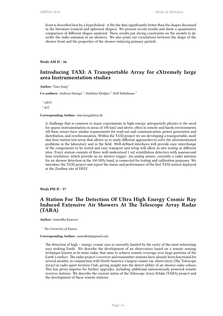front is described best by a hyperboloid - it fits the data significantly better than the shapes discussed in the literature (conical and spherical shapes). We present recent results and show a quantitative comparison of different shapes analyzed. These results put strong constraints on the models to describe the radio emission in air showers. We also point out correlations between the shape of the shower front and the properties of the shower-inducing primary particle.

<span id="page-21-0"></span>**Weds AM II** / **36**

## **Introducing TAXI: A Transportable Array for eXtremely large area Instrumentation studies**

**Author:** Timo Karg<sup>1</sup>

Co-authors: Andreas Haungs<sup>2</sup>; Matthias Kleifges<sup>2</sup>; Rolf Nahnhauer<sup>1</sup>

<sup>1</sup> *DESY* <sup>2</sup> *KIT*

**Corresponding Author:** timo.karg@desy.de

A challenge that is common to many experiments in high-energy astroparticle physics is the need for sparse instrumentation in areas of 100 km2 and above, often in remote and harsh environments. All these arrays have similar requirements for read-out and communication, power generation and distribution, and synchronization. Within the TAXI project we are developing a transportable, modular four-station test-array that allows us to study different approaches to solve the aforementioned problems in the laboratory and in the field. Well-defined interfaces will provide easy interchange of the components to be tested and easy transport and setup will allow in-situ testing at different sites. Every station consists of three well-understood 1 m2 scintillation detectors with nanosecond time resolution, which provide an air shower trigger. An analog sensor, currently a radio antenna for air shower detection in the 100 MHz band, is connected for testing and calibration purposes. We introduce the TAXI project and report the status and performance of the first TAXI station deployed at the Zeuthen site of DESY.

<span id="page-21-1"></span>**Weds PM II** / **37**

#### **A Station For The Detection Of Ultra High Energy Cosmic Ray Induced Extensive Air Showers At The Telescope Array Radar (TARA)**

**Author:** Samridha Kunwar<sup>1</sup>

<sup>1</sup> *The University of Kansas*

#### **Corresponding Author:** samridhak@gmail.com

<span id="page-21-2"></span>The detection of high – energy cosmic rays is currently limited by the rarity of the most interesting rays striking Earth. We describe the development of an observatory based on a remote sensing technique known as bi-static radar, that aims to achieve remote coverage over large portions of the Earth's surface. The radar project's receiver and transmitter stations have already been functional for several months, in conjunction with North America's largest cosmic ray observatory (The Telescope Array) in radio quiet western Utah, giving insight into the detect-ability of air shower radar echoes. This has given impetus for further upgrades, including additional autonomously powered remote receiver stations. We describe the current status of the Telescope Array RAdar (TARA) project and the development of these remote stations.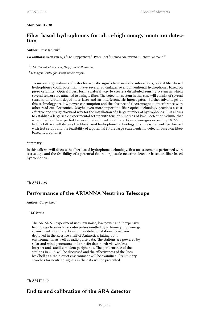#### **Mon AM II** / **38**

## **Fiber based hydrophones for ultra-high energy neutrino detection**

#### Author: Ernst-Jan Buis<sup>1</sup>

Co-authors: Daan van Eijk <sup>1</sup>; Ed Doppenberg <sup>1</sup>; Peter Toet <sup>1</sup>; Remco Nieuwland <sup>1</sup>; Robert Lahmann <sup>2</sup>

1 *TNO Technical Sciences, Delft, The Netherlands*

2 *Erlangen Centre for Astroparticle Physics*

To survey large volumes of water for acoustic signals from neutrino interactions, optical fiber-based hydrophones could potentially have several advantages over conventional hydrophones based on piezo ceramics. Optical fibers form a natural way to create a distributed sensing system in which several sensors are attached to a single fiber. The detection system in this case will consist of several sensors, an erbium doped fiber laser and an interferometric interrogator. Further advantages of this technology are low power consumption and the absence of electromagnetic interference with other read-out electronics. Maybe even more important, fiber optics technology provides a costeffective and straightforward way for the installation of a large number of hydrophones. This allows to establish a large scale experimental set-up with tens or hundreds of km^3 detection volume that is required for the expected low event rate of neutrino interactions at energies exceeding 10 PeV. In this talk we will discuss the fiber-based hydrophone technology, first measurements performed with test setups and the feasibility of a potential future large scale neutrino detector based on fiberbased hydrophones.

#### **Summary**:

In this talk we will discuss the fiber-based hydrophone technology, first measurements performed with test setups and the feasibility of a potential future large scale neutrino detector based on fiber-based hydrophones.

#### <span id="page-22-0"></span>**Th AM I** / **39**

## **Performance of the ARIANNA Neutrino Telescope**

Author: Corey Reed<sup>1</sup>

<sup>1</sup> *UC Irvine*

The ARIANNA experiment uses low noise, low power and inexpensive technology to search for radio pulses emitted by extremely high energy cosmic neutrino interactions. Three detector stations have been deployed in the Ross Ice Shelf of Antarctica, taking both environmental as well as radio pulse data. The stations are powered by solar and wind generators and transfer data north via wireless Internet and satellite modem peripherals. The performance of the stations in 2014 will be discussed and the effectiveness of the Ross Ice Shelf as a radio quiet environment will be examined. Preliminary searches for neutrino signals in the data will be presented.

<span id="page-22-1"></span>**Th AM II** / **40**

## **End to end calibration of the ARA detector**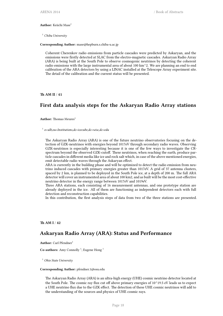#### Author: Keiichi Mase<sup>1</sup>

<sup>1</sup> *Chiba University*

**Corresponding Author:** mase@hepburn.s.chiba-u.ac.jp

Coherent Cherenkov radio emissions from particle cascades were predicted by Askaryan, and the emissions were firstly detected at SLAC from the electro-magnetic cascades. Askaryan Radio Array (ARA) is being built at the South Pole to observe cosmogenic neutrinos by detecting the coherent radio emissions with the large instrumental area of about 100 km^2. We are planning an end to end calibration of the ARA detectors by using a LINAC installed at the Telescope Array experiment site. The detail of the calibration and the current status will be presented.

<span id="page-23-0"></span>**Th AM II** / **41**

## **First data analysis steps for the Askaryan Radio Array stations**

**Author:** Thomas Meures<sup>1</sup>

1 *o=ulb,ou=Institutions,dc=icecube,dc=wisc,dc=edu*

The Askaryan Radio Array (ARA) is one of the future neutrino observatories focusing on the detection of GZK-neutrinos with energies beyond 1017eV through secondary radio waves. Observing GZK-neutrinos is especially interesting because it is one of the few ways to investigate the CRspectrum beyond the observed GZK-cutoff. These neutrinos, when reaching the earth, produce particle cascades in different media like ice and rock salt which, in case of the above mentioned energies, emit detectable radio waves through the Askaryan effect.

ARA is currently in the building phase and will be optimized to detect the radio emission from neutrino induced cascades with primary energies greater than 1017eV. A grid of 37 antenna clusters, spaced by 2 km, is planned to be deployed in the South Pole ice, at a depth of 200 m. The full ARA detector will cover an instrumented area of about 100 km2, and as built will be the most cost-effective neutrino detector in the energy range between 1017eV and 1019eV.

Three ARA stations, each consisting of 16 measurement antennas, and one prototype station are already deployed in the ice. All of them are functioning as independent detectors each with full detection and reconstruction capabilities.

In this contribution, the first analysis steps of data from two of the three stations are presented.

#### <span id="page-23-1"></span>**Th AM I** / **42**

#### **Askaryan Radio Array (ARA): Status and Performance**

Author: Carl Pfendner<sup>1</sup>

Co-authors: Amy Connolly<sup>1</sup>; Eugene Hong<sup>1</sup>

<sup>1</sup> *Ohio State University*

#### **Corresponding Author:** pfendner.1@osu.edu

The Askaryan Radio Array (ARA) is an ultra-high energy (UHE) cosmic neutrino detector located at the South Pole. The cosmic ray flux cut off above primary energies of 10^19.5 eV leads us to expect a UHE neutrino flux due to the GZK effect. The detection of these UHE cosmic neutrinos will add to the understanding of the sources and physics of UHE cosmic rays.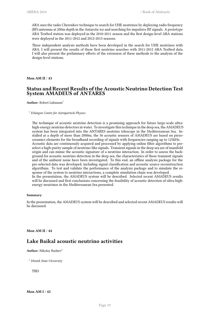ARA uses the radio Cherenkov technique to search for UHE neutrinos by deploying radio frequency (RF) antennas at 200m depth in the Antarctic ice and searching for impulsive RF signals. A prototype ARA Testbed station was deployed in the 2010-2011 season and the first design-level ARA stations were deployed in the 2011-2012 and 2012-2013 seasons.

Three independent analysis methods have been developed in the search for UHE neutrinos with ARA. I will present the results of these first neutrino searches with 2011-2012 ARA Testbed data. I will also present the preliminary efforts of the extension of these methods to the analysis of the design-level stations.

#### <span id="page-24-0"></span>**Mon AM II** / **43**

#### **Status and Recent Results of the Acoustic Neutrino Detection Test System AMADEUS of ANTARES**

Author: Robert Lahmann<sup>1</sup>

#### 1 *Erlangen Centre for Astroparticle Physics*

The technique of acoustic neutrino detection is a promising approach for future large-scale ultrahigh-energy neutrino detectors in water. To investigate this technique in the deep sea, the AMADEUS system has been integrated into the ANTARES neutrino telescope in the Mediterranean Sea. Installed at a depth of more than 2000m, the 36 acoustic sensors of AMADEUS are based on piezoceramics elements for the broadband recording of signals with frequencies ranging up to 125kHz. Acoustic data are continuously acquired and processed by applying online filter algorithms to preselect a high-purity sample of neutrino-like signals. Transient signals in the deep sea are of manifold origin and can mimic the acoustic signature of a neutrino interaction. In order to assess the background for acoustic neutrino detection in the deep sea, the characteristics of these transient signals and of the ambient noise have been investigated. To this end, an offline analysis package for the pre-selected data was developed, including signal classification and acoustic source reconstruction algorithms. To test and validate the performance of the analysis package and to simulate the response of the system to neutrino interactions, a complete simulation chain was developed. In the presentation, the AMADEUS system will be described. Selected recent AMADEUS results will be discussed and first conclusions concerning the feasibility of acoustic detection of ultra-highenergy neutrinos in the Mediterranean Sea presented.

#### **Summary**:

In the presentation, the AMADEUS system will be described and selected recent AMADEUS results will be discussed.

<span id="page-24-1"></span>**Mon AM II** / **44**

#### **Lake Baikal acoustic neutrino activities**

Author: Nikolay Budnev<sup>1</sup>

1 *Irkutsk State University*

**TBD**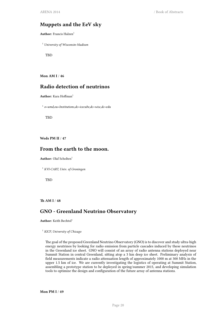## **Muppets and the EeV sky**

**Author:** Francis Halzen<sup>1</sup>

<sup>1</sup> *University of Wisconsin-Madison*

**TBD** 

**Mon AM I** / **46**

## **Radio detection of neutrinos**

**Author:** Kara Hoffman<sup>1</sup>

1 *o=umd,ou=Institutions,dc=icecube,dc=wisc,dc=edu*

TBD

<span id="page-25-0"></span>**Weds PM II** / **47**

## **From the earth to the moon.**

Author: Olaf Scholten<sup>1</sup>

<sup>1</sup> *KVI-CART, Univ. of Groningen*

**TBD** 

#### **Th AM I** / **48**

## **GNO - Greenland Neutrino Observatory**

Author: Keith Bechtol<sup>1</sup>

<sup>1</sup> *KICP, University of Chicago*

<span id="page-25-1"></span>The goal of the proposed Greenland Neutrino Observatory (GNO) is to discover and study ultra-high energy neutrinos by looking for radio emission from particle cascades induced by these neutrinos in the Greenland ice sheet. GNO will consist of an array of radio antenna stations deployed near Summit Station in central Greenland, sitting atop a 3 km deep ice sheet. Preliminary analysis of field measurements indicate a radio attenuation length of approximately 1000 m at 300 MHz in the upper 1.5 km of ice. We are currently investigating the logistics of operating at Summit Station, assembling a prototype station to be deployed in spring/summer 2015, and developing simulation tools to optimize the design and configuration of the future array of antenna stations.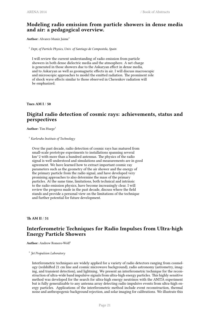## **Modeling radio emission from particle showers in dense media and air: a pedagogical overview.**

Author: Alvarez-Muniz Jaime<sup>1</sup>

<sup>1</sup> *Dept, of Particle Physics, Univ. of Santiago de Compostela, Spain*

I will review the current understanding of radio emission from particle showers in both dense dielectric media and the atmosphere. A net charge is generated in those showers due to the Askaryan effect in dense media, and to Askaryan as well as geomagnetic effects in air. I will discuss macroscopic and microscopic approaches to model the emitted radiation. The prominent role of shock wave effects similar to those observed in Cherenkov radiation will be emphasized.

<span id="page-26-0"></span>**Tues AM I** / **50**

## **Digital radio detection of cosmic rays: achievements, status and perspectives**

**Author:** Tim Huege<sup>1</sup>

<sup>1</sup> *Karlsruhe Institute of Technology*

Over the past decade, radio detection of cosmic rays has matured from small-scale prototype experiments to installations spanning several km^2 with more than a hundred antennas. The physics of the radio signal is well understood and simulations and measurements are in good agreement. We have learned how to extract important cosmic ray parameters such as the geometry of the air shower and the energy of the primary particle from the radio signal, and have developed very promising approaches to also determine the mass of the primary particles. At the same time, limitations, both technical and intrinsic to the radio emission physics, have become increasingly clear. I will review the progress made in the past decade, discuss where the field stands and provide a personal view on the limitations of the technique and further potential for future development.

<span id="page-26-1"></span>**Th AM II** / **51**

## **Interferometric Techniques for Radio Impulses from Ultra-high Energy Particle Showers**

**Author:** Andrew Romero-Wolf<sup>1</sup>

1 *Jet Propulsion Laboratory*

Interferometric techniques are widely applied for a variety of radio detectors ranging from cosmology (redshifted 21 cm line and cosmic microwave background), radio astronomy (astrometry, imaging, and transient detection), and lightning. We present an interferometric technique for the reconstruction of ultra-wide band impulsive signals from ultra-high energy particles. This highly sensitive method was developed for the search for ultra-high energy neutrinos with the ANITA experiment but is fully generalizable to any antenna array detecting radio impulsive events from ultra-high energy particles. Applications of the interferometric method include event reconstruction, thermal noise and anthropogenic background rejection, and solar imaging for calibrations. We illustrate this